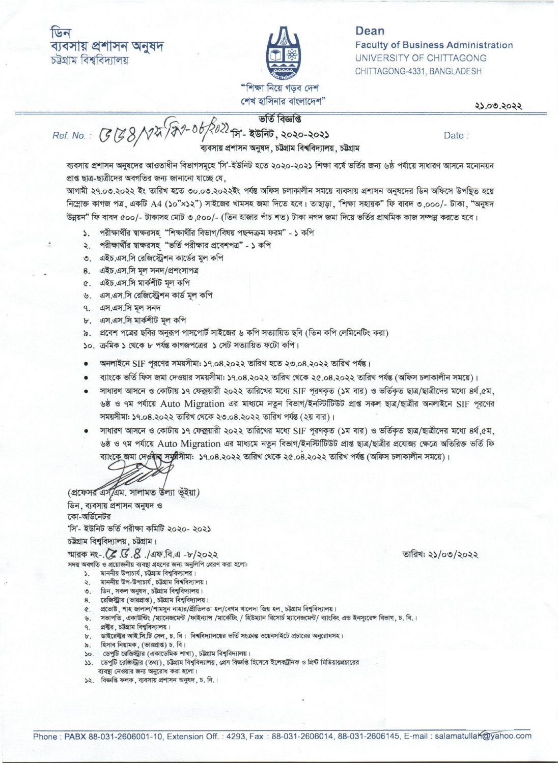

## Dean **Faculty of Business Administration** UNIVERSITY OF CHITTAGONG CHITTAGONG-4331, BANGLADESH

२३.०७.२०२२

ভৰ্তি বিজ্ঞপ্তি

শেখ হাসিনার বাংলাদেশ"

स्त No.: (38/12/17/18/2002) अर्थ कार्ड विख्लाख

ব্যবসায় প্রশাসন অনুষদ, চট্টগ্রাম বিশ্ববিদ্যালয়, চট্টগ্রাম

Date:

ব্যবসায় প্রশাসন অনুষদের আওতাধীন বিভাগসমূহে 'সি'-ইউনিট হতে ২০২০-২০২১ শিক্ষা বর্ষে ভর্তির জন্য ৬ষ্ঠ পর্যায়ে সাধারণ আসনে মনোনয়ন প্রাপ্ত ছাত্র-ছাত্রীদের অবগতির জন্য জানানো যাচ্ছে যে,

আগামী ২৭.০৩.২০২২ ইং তারিখ হতে ৩০.০৩.২০২২ইং পর্যন্ত অফিস চলাকালীন সময়ে ব্যবসায় প্রশাসন অনুষদের ডিন অফিসে উপন্থিত হয়ে নিম্নোক্ত কাগজ পত্ৰ, একটি A4 (১০"×১২") সাইজের খামসহ জমা দিতে হবে। তাছাড়া, 'শিক্ষা সহায়ক" ফি বাবদ ৩,০০০/- টাকা, "অনুষদ উন্নয়ন" ফি বাবদ ৫০০/- টাকাসহ মোট ৩,৫০০/- (তিন হাজার পাঁচ শত) টাকা নগদ জমা দিয়ে ভর্তির প্রাথমিক কাজ সম্পন্ন করতে হবে।

- ১. পরীক্ষার্থীর ম্বাক্ষরসহ "শিক্ষার্থীর বিভাগ/বিষয় পছন্দক্রম ফরম" ১ কপি
- ২. পরীক্ষার্থীর স্বাক্ষরসহ "ভর্তি পরীক্ষার প্রবেশপত্র" ১ কপি
- ৩. এইচ.এস.সি রেজিস্ট্রেশন কার্ডের মূল কপি
- 8. এইচ.এস.সি মূল সনদ/প্ৰশংসাপত্ৰ
- ৫. এইচ.এস.সি মার্কশীট মল কপি
- ৬. এস.এস.সি রেজিস্ট্রেশন কার্ড মূল কপি
- ৭. এস.এস.সি মূল সনদ
- ৮. এস.এস.সি মার্কশীট মূল কপি
- ৯. প্রবেশ পত্রের ছবির অনুরূপ পাসপোর্ট সাইজের ৬ কপি সত্যায়িত ছবি (তিন কপি লেমিনেটিং করা)
- ১০. ক্ৰমিক ১ থেকে ৮ পৰ্যন্ত কাগজপত্ৰের ১ সেট সত্যায়িত ফটো কপি।
- অনলাইনে SIF পুরণের সময়সীমা: ১৭.০৪.২০২২ তারিখ হতে ২৩.০৪.২০২২ তারিখ পর্যন্ত।  $\bullet$
- ব্যাংকে ভর্তি ফিস জমা দেওয়ার সময়সীমা: ১৭.০৪.২০২২ তারিখ থেকে ২৫.০৪.২০২২ তারিখ পর্যন্ত (অফিস চলাকালীন সময়ে)।  $\bullet$
- সাধারণ আসনে ও কোটায় ১৭ ফেক্সয়ারী ২০২২ তারিখের মধ্যে SIF পরণকৃত (১ম বার) ও ভর্তিকৃত ছাত্র/ছাত্রীদের মধ্যে ৪র্থ,৫ম,  $\bullet$ ৬ষ্ঠ ও ৭ম পর্যায়ে Auto Migration এর মাধ্যমে নতুন বিভাগ/ইনস্টিটিউট প্রাপ্ত সকল ছাত্র/ছাত্রীর অনলাইনে SIF পরণের সময়সীমা: ১৭.০৪.২০২২ তারিখ থেকে ২৩.০৪.২০২২ তারিখ পর্যন্ত (২য় বার)।
- সাধারণ আসনে ও কোটায় ১৭ ফেক্সয়ারী ২০২২ তারিখের মধ্যে SIF পরণকৃত (১ম বার) ও ভর্তিকৃত ছাত্র/ছাত্রীদের মধ্যে ৪র্থ,৫ম, ৬ষ্ঠ ও ৭ম পর্যায়ে Auto Migration এর মাধ্যমে নতুন বিভাগ/ইনস্টিটিউট প্রাপ্ত ছাত্র/ছাত্রীর প্রযোজ্য ক্ষেত্রে অতিরিক্ত ভর্তি ফি ব্যাংকে জমা দেওবাব সম্বৰ্ধসীমা: ১৭.০৪.২০২২ তারিখ থেকে ২৫.০৪.২০২২ তারিখ পর্যন্ত (অফিস চলাকালীন সময়ে)।

(প্রফেসর এস এম. সালামত উল্যা ভূঁইয়া)

ডিন, ব্যবসায় প্রশাসন অনুষদ ও কো-অর্ডিনেটর

'সি'- ইউনিট ভৰ্তি পরীক্ষা কমিটি ২০২০- ২০২১

চউগ্রাম বিশ্ববিদ্যালয়, চউগ্রাম।

সদয় অবগতি ও প্রয়োজনীয় ব্যবষ্টা গ্রহণের জন্য অনুলিপি প্রেরণ করা হলো:

- ১. মাননীয় উপাচার্য, চউগ্রাম বিশ্ববিদ্যালয়।
- ২. মাননীয় উপ-উপাচার্য, চট্টগ্রাম বিশ্ববিদ্যালয়।
- 
- 
- ২. সালোৱে ২৭-২ লগত, তত্মান বিশ্ববিদ্যালয়।<br>৩. ডিন, সকল অনুষদ, চট্টগ্রাম বিশ্ববিদ্যালয়।<br>৫. প্রভোষ্ট, শাহ জালাল/শামসুন নাহার/প্রীতিলতা হল/বেগম খালেদা জিয় হল, চট্টগ্রাম বিশ্ববিদ্যালয়।
- ৬. সভাপতি , একাউন্টিং /ম্যানেজমেন্ট /ফাইন্যাঙ্গ /মার্কেটিং / হিউম্যান রিসোর্চ ম্যানেজমেন্ট/ ব্যাংকিং এন্ড ইনস্যুরেন্স বিভাগ, চ. বি.।
- ৭. প্রক্টর, চউগ্রাম বিশ্ববিদ্যালয়।
- ৮. ভাইরেক্টর আই.সি.টি সেল, চ. বি। বিশ্ববিদ্যালয়ের ভর্তি সংক্রান্ত ওয়েবসাইটে প্রচারের অনুরোধসহ।<br>৯. হিসাব নিয়ামক, (ভারপ্রাপ্ত) চ. বি।
- 
- ১০. ডেপুটি রেজিস্ট্রার (একাডেমিক শাখা), চউগ্রাম বিশ্ববিদ্যালয়।
- ১১. ডেপুটি রেজিস্ট্রার (তথ্য), চউগ্রাম বিশ্ববিদ্যালয়, প্রেস বিজ্ঞপ্তি হিসেবে ইলেকট্রনিক ও প্রিন্ট মিডিয়ায়প্রচারের ব্যবস্থা নেওয়ার জন্য অনুরোধ করা হলো।
- ১২. বিজ্ঞপ্তি ফলক, ব্যবসায় প্রশাসন অনুষদ, চ. বি.।

তারিখ: ২১/০৩/২০২২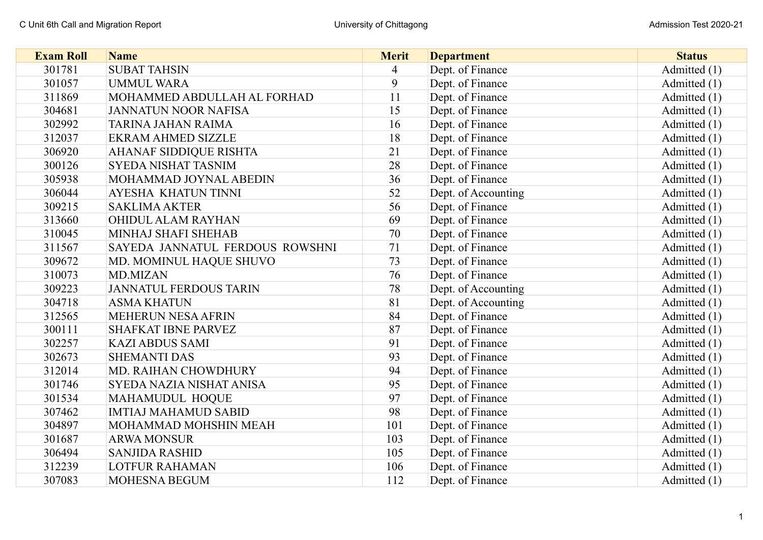| <b>Exam Roll</b> | <b>Name</b>                     | <b>Merit</b>   | <b>Department</b>   | <b>Status</b> |
|------------------|---------------------------------|----------------|---------------------|---------------|
| 301781           | <b>SUBAT TAHSIN</b>             | $\overline{4}$ | Dept. of Finance    | Admitted (1)  |
| 301057           | <b>UMMUL WARA</b>               | 9              | Dept. of Finance    | Admitted (1)  |
| 311869           | MOHAMMED ABDULLAH AL FORHAD     | 11             | Dept. of Finance    | Admitted (1)  |
| 304681           | <b>JANNATUN NOOR NAFISA</b>     | 15             | Dept. of Finance    | Admitted (1)  |
| 302992           | TARINA JAHAN RAIMA              | 16             | Dept. of Finance    | Admitted (1)  |
| 312037           | <b>EKRAM AHMED SIZZLE</b>       | 18             | Dept. of Finance    | Admitted (1)  |
| 306920           | <b>AHANAF SIDDIQUE RISHTA</b>   | 21             | Dept. of Finance    | Admitted (1)  |
| 300126           | <b>SYEDA NISHAT TASNIM</b>      | 28             | Dept. of Finance    | Admitted (1)  |
| 305938           | MOHAMMAD JOYNAL ABEDIN          | 36             | Dept. of Finance    | Admitted (1)  |
| 306044           | <b>AYESHA KHATUN TINNI</b>      | 52             | Dept. of Accounting | Admitted (1)  |
| 309215           | <b>SAKLIMA AKTER</b>            | 56             | Dept. of Finance    | Admitted (1)  |
| 313660           | OHIDUL ALAM RAYHAN              | 69             | Dept. of Finance    | Admitted (1)  |
| 310045           | MINHAJ SHAFI SHEHAB             | 70             | Dept. of Finance    | Admitted (1)  |
| 311567           | SAYEDA JANNATUL FERDOUS ROWSHNI | 71             | Dept. of Finance    | Admitted (1)  |
| 309672           | MD. MOMINUL HAQUE SHUVO         | 73             | Dept. of Finance    | Admitted (1)  |
| 310073           | MD.MIZAN                        | 76             | Dept. of Finance    | Admitted (1)  |
| 309223           | <b>JANNATUL FERDOUS TARIN</b>   | 78             | Dept. of Accounting | Admitted (1)  |
| 304718           | <b>ASMA KHATUN</b>              | 81             | Dept. of Accounting | Admitted (1)  |
| 312565           | MEHERUN NESA AFRIN              | 84             | Dept. of Finance    | Admitted (1)  |
| 300111           | <b>SHAFKAT IBNE PARVEZ</b>      | 87             | Dept. of Finance    | Admitted (1)  |
| 302257           | <b>KAZI ABDUS SAMI</b>          | 91             | Dept. of Finance    | Admitted (1)  |
| 302673           | <b>SHEMANTI DAS</b>             | 93             | Dept. of Finance    | Admitted (1)  |
| 312014           | MD. RAIHAN CHOWDHURY            | 94             | Dept. of Finance    | Admitted (1)  |
| 301746           | SYEDA NAZIA NISHAT ANISA        | 95             | Dept. of Finance    | Admitted (1)  |
| 301534           | MAHAMUDUL HOQUE                 | 97             | Dept. of Finance    | Admitted (1)  |
| 307462           | <b>IMTIAJ MAHAMUD SABID</b>     | 98             | Dept. of Finance    | Admitted (1)  |
| 304897           | MOHAMMAD MOHSHIN MEAH           | 101            | Dept. of Finance    | Admitted (1)  |
| 301687           | <b>ARWA MONSUR</b>              | 103            | Dept. of Finance    | Admitted (1)  |
| 306494           | <b>SANJIDA RASHID</b>           | 105            | Dept. of Finance    | Admitted (1)  |
| 312239           | <b>LOTFUR RAHAMAN</b>           | 106            | Dept. of Finance    | Admitted (1)  |
| 307083           | <b>MOHESNA BEGUM</b>            | 112            | Dept. of Finance    | Admitted (1)  |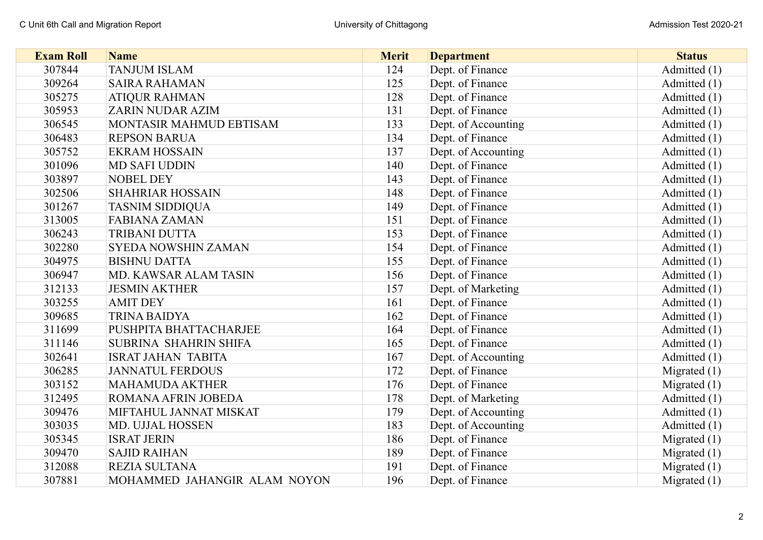| <b>Exam Roll</b> | <b>Name</b>                  | <b>Merit</b> | <b>Department</b>   | <b>Status</b>  |
|------------------|------------------------------|--------------|---------------------|----------------|
| 307844           | <b>TANJUM ISLAM</b>          | 124          | Dept. of Finance    | Admitted (1)   |
| 309264           | <b>SAIRA RAHAMAN</b>         | 125          | Dept. of Finance    | Admitted (1)   |
| 305275           | <b>ATIQUR RAHMAN</b>         | 128          | Dept. of Finance    | Admitted (1)   |
| 305953           | <b>ZARIN NUDAR AZIM</b>      | 131          | Dept. of Finance    | Admitted (1)   |
| 306545           | MONTASIR MAHMUD EBTISAM      | 133          | Dept. of Accounting | Admitted (1)   |
| 306483           | <b>REPSON BARUA</b>          | 134          | Dept. of Finance    | Admitted (1)   |
| 305752           | <b>EKRAM HOSSAIN</b>         | 137          | Dept. of Accounting | Admitted (1)   |
| 301096           | <b>MD SAFI UDDIN</b>         | 140          | Dept. of Finance    | Admitted (1)   |
| 303897           | <b>NOBEL DEY</b>             | 143          | Dept. of Finance    | Admitted (1)   |
| 302506           | <b>SHAHRIAR HOSSAIN</b>      | 148          | Dept. of Finance    | Admitted (1)   |
| 301267           | <b>TASNIM SIDDIQUA</b>       | 149          | Dept. of Finance    | Admitted (1)   |
| 313005           | <b>FABIANA ZAMAN</b>         | 151          | Dept. of Finance    | Admitted (1)   |
| 306243           | TRIBANI DUTTA                | 153          | Dept. of Finance    | Admitted (1)   |
| 302280           | <b>SYEDA NOWSHIN ZAMAN</b>   | 154          | Dept. of Finance    | Admitted (1)   |
| 304975           | <b>BISHNU DATTA</b>          | 155          | Dept. of Finance    | Admitted (1)   |
| 306947           | MD. KAWSAR ALAM TASIN        | 156          | Dept. of Finance    | Admitted (1)   |
| 312133           | <b>JESMIN AKTHER</b>         | 157          | Dept. of Marketing  | Admitted (1)   |
| 303255           | <b>AMIT DEY</b>              | 161          | Dept. of Finance    | Admitted (1)   |
| 309685           | <b>TRINA BAIDYA</b>          | 162          | Dept. of Finance    | Admitted (1)   |
| 311699           | PUSHPITA BHATTACHARJEE       | 164          | Dept. of Finance    | Admitted (1)   |
| 311146           | <b>SUBRINA SHAHRIN SHIFA</b> | 165          | Dept. of Finance    | Admitted (1)   |
| 302641           | <b>ISRAT JAHAN TABITA</b>    | 167          | Dept. of Accounting | Admitted (1)   |
| 306285           | <b>JANNATUL FERDOUS</b>      | 172          | Dept. of Finance    | Migrated $(1)$ |
| 303152           | MAHAMUDA AKTHER              | 176          | Dept. of Finance    | Migrated $(1)$ |
| 312495           | ROMANA AFRIN JOBEDA          | 178          | Dept. of Marketing  | Admitted (1)   |
| 309476           | MIFTAHUL JANNAT MISKAT       | 179          | Dept. of Accounting | Admitted (1)   |
| 303035           | MD. UJJAL HOSSEN             | 183          | Dept. of Accounting | Admitted (1)   |
| 305345           | <b>ISRAT JERIN</b>           | 186          | Dept. of Finance    | Migrated $(1)$ |
| 309470           | <b>SAJID RAIHAN</b>          | 189          | Dept. of Finance    | Migrated $(1)$ |
| 312088           | REZIA SULTANA                | 191          | Dept. of Finance    | Migrated $(1)$ |
| 307881           | MOHAMMED JAHANGIR ALAM NOYON | 196          | Dept. of Finance    | Migrated $(1)$ |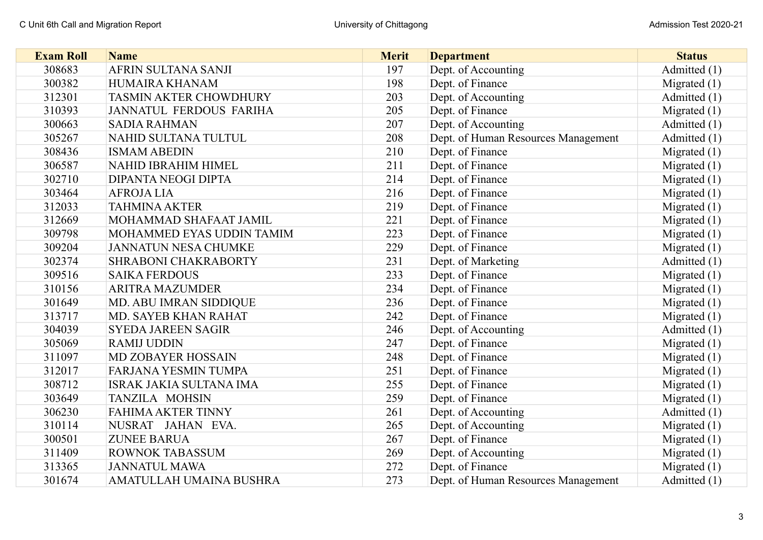| <b>Exam Roll</b> | <b>Name</b>                    | <b>Merit</b> | <b>Department</b>                   | <b>Status</b>  |
|------------------|--------------------------------|--------------|-------------------------------------|----------------|
| 308683           | AFRIN SULTANA SANJI            | 197          | Dept. of Accounting                 | Admitted (1)   |
| 300382           | HUMAIRA KHANAM                 | 198          | Dept. of Finance                    | Migrated $(1)$ |
| 312301           | TASMIN AKTER CHOWDHURY         | 203          | Dept. of Accounting                 | Admitted (1)   |
| 310393           | JANNATUL FERDOUS FARIHA        | 205          | Dept. of Finance                    | Migrated $(1)$ |
| 300663           | <b>SADIA RAHMAN</b>            | 207          | Dept. of Accounting                 | Admitted (1)   |
| 305267           | NAHID SULTANA TULTUL           | 208          | Dept. of Human Resources Management | Admitted (1)   |
| 308436           | <b>ISMAM ABEDIN</b>            | 210          | Dept. of Finance                    | Migrated $(1)$ |
| 306587           | NAHID IBRAHIM HIMEL            | 211          | Dept. of Finance                    | Migrated $(1)$ |
| 302710           | DIPANTA NEOGI DIPTA            | 214          | Dept. of Finance                    | Migrated $(1)$ |
| 303464           | <b>AFROJALIA</b>               | 216          | Dept. of Finance                    | Migrated $(1)$ |
| 312033           | <b>TAHMINA AKTER</b>           | 219          | Dept. of Finance                    | Migrated $(1)$ |
| 312669           | MOHAMMAD SHAFAAT JAMIL         | 221          | Dept. of Finance                    | Migrated $(1)$ |
| 309798           | MOHAMMED EYAS UDDIN TAMIM      | 223          | Dept. of Finance                    | Migrated $(1)$ |
| 309204           | <b>JANNATUN NESA CHUMKE</b>    | 229          | Dept. of Finance                    | Migrated $(1)$ |
| 302374           | SHRABONI CHAKRABORTY           | 231          | Dept. of Marketing                  | Admitted (1)   |
| 309516           | <b>SAIKA FERDOUS</b>           | 233          | Dept. of Finance                    | Migrated $(1)$ |
| 310156           | <b>ARITRA MAZUMDER</b>         | 234          | Dept. of Finance                    | Migrated $(1)$ |
| 301649           | MD. ABU IMRAN SIDDIQUE         | 236          | Dept. of Finance                    | Migrated $(1)$ |
| 313717           | MD. SAYEB KHAN RAHAT           | 242          | Dept. of Finance                    | Migrated $(1)$ |
| 304039           | <b>SYEDA JAREEN SAGIR</b>      | 246          | Dept. of Accounting                 | Admitted (1)   |
| 305069           | <b>RAMIJ UDDIN</b>             | 247          | Dept. of Finance                    | Migrated $(1)$ |
| 311097           | <b>MD ZOBAYER HOSSAIN</b>      | 248          | Dept. of Finance                    | Migrated $(1)$ |
| 312017           | <b>FARJANA YESMIN TUMPA</b>    | 251          | Dept. of Finance                    | Migrated $(1)$ |
| 308712           | <b>ISRAK JAKIA SULTANA IMA</b> | 255          | Dept. of Finance                    | Migrated $(1)$ |
| 303649           | TANZILA MOHSIN                 | 259          | Dept. of Finance                    | Migrated $(1)$ |
| 306230           | <b>FAHIMA AKTER TINNY</b>      | 261          | Dept. of Accounting                 | Admitted (1)   |
| 310114           | NUSRAT JAHAN EVA.              | 265          | Dept. of Accounting                 | Migrated $(1)$ |
| 300501           | <b>ZUNEE BARUA</b>             | 267          | Dept. of Finance                    | Migrated $(1)$ |
| 311409           | <b>ROWNOK TABASSUM</b>         | 269          | Dept. of Accounting                 | Migrated $(1)$ |
| 313365           | <b>JANNATUL MAWA</b>           | 272          | Dept. of Finance                    | Migrated $(1)$ |
| 301674           | AMATULLAH UMAINA BUSHRA        | 273          | Dept. of Human Resources Management | Admitted (1)   |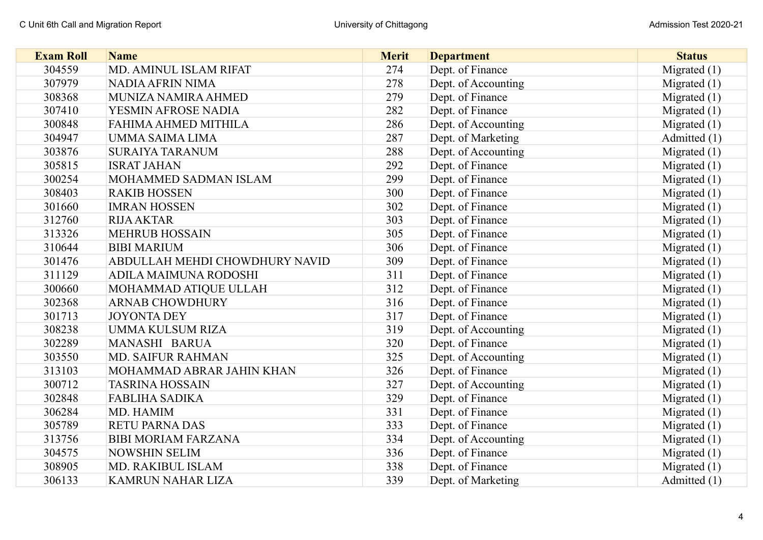| <b>Exam Roll</b> | <b>Name</b>                    | <b>Merit</b> | <b>Department</b>   | <b>Status</b>  |
|------------------|--------------------------------|--------------|---------------------|----------------|
| 304559           | MD. AMINUL ISLAM RIFAT         | 274          | Dept. of Finance    | Migrated $(1)$ |
| 307979           | <b>NADIA AFRIN NIMA</b>        | 278          | Dept. of Accounting | Migrated $(1)$ |
| 308368           | MUNIZA NAMIRA AHMED            | 279          | Dept. of Finance    | Migrated $(1)$ |
| 307410           | YESMIN AFROSE NADIA            | 282          | Dept. of Finance    | Migrated $(1)$ |
| 300848           | FAHIMA AHMED MITHILA           | 286          | Dept. of Accounting | Migrated $(1)$ |
| 304947           | UMMA SAIMA LIMA                | 287          | Dept. of Marketing  | Admitted (1)   |
| 303876           | <b>SURAIYA TARANUM</b>         | 288          | Dept. of Accounting | Migrated $(1)$ |
| 305815           | <b>ISRAT JAHAN</b>             | 292          | Dept. of Finance    | Migrated $(1)$ |
| 300254           | MOHAMMED SADMAN ISLAM          | 299          | Dept. of Finance    | Migrated $(1)$ |
| 308403           | <b>RAKIB HOSSEN</b>            | 300          | Dept. of Finance    | Migrated $(1)$ |
| 301660           | <b>IMRAN HOSSEN</b>            | 302          | Dept. of Finance    | Migrated $(1)$ |
| 312760           | <b>RIJA AKTAR</b>              | 303          | Dept. of Finance    | Migrated $(1)$ |
| 313326           | <b>MEHRUB HOSSAIN</b>          | 305          | Dept. of Finance    | Migrated $(1)$ |
| 310644           | <b>BIBI MARIUM</b>             | 306          | Dept. of Finance    | Migrated $(1)$ |
| 301476           | ABDULLAH MEHDI CHOWDHURY NAVID | 309          | Dept. of Finance    | Migrated $(1)$ |
| 311129           | ADILA MAIMUNA RODOSHI          | 311          | Dept. of Finance    | Migrated $(1)$ |
| 300660           | MOHAMMAD ATIQUE ULLAH          | 312          | Dept. of Finance    | Migrated $(1)$ |
| 302368           | <b>ARNAB CHOWDHURY</b>         | 316          | Dept. of Finance    | Migrated $(1)$ |
| 301713           | <b>JOYONTA DEY</b>             | 317          | Dept. of Finance    | Migrated $(1)$ |
| 308238           | UMMA KULSUM RIZA               | 319          | Dept. of Accounting | Migrated $(1)$ |
| 302289           | MANASHI BARUA                  | 320          | Dept. of Finance    | Migrated $(1)$ |
| 303550           | <b>MD. SAIFUR RAHMAN</b>       | 325          | Dept. of Accounting | Migrated $(1)$ |
| 313103           | MOHAMMAD ABRAR JAHIN KHAN      | 326          | Dept. of Finance    | Migrated $(1)$ |
| 300712           | <b>TASRINA HOSSAIN</b>         | 327          | Dept. of Accounting | Migrated $(1)$ |
| 302848           | <b>FABLIHA SADIKA</b>          | 329          | Dept. of Finance    | Migrated $(1)$ |
| 306284           | MD. HAMIM                      | 331          | Dept. of Finance    | Migrated $(1)$ |
| 305789           | <b>RETU PARNA DAS</b>          | 333          | Dept. of Finance    | Migrated $(1)$ |
| 313756           | <b>BIBI MORIAM FARZANA</b>     | 334          | Dept. of Accounting | Migrated $(1)$ |
| 304575           | <b>NOWSHIN SELIM</b>           | 336          | Dept. of Finance    | Migrated $(1)$ |
| 308905           | MD. RAKIBUL ISLAM              | 338          | Dept. of Finance    | Migrated $(1)$ |
| 306133           | <b>KAMRUN NAHAR LIZA</b>       | 339          | Dept. of Marketing  | Admitted (1)   |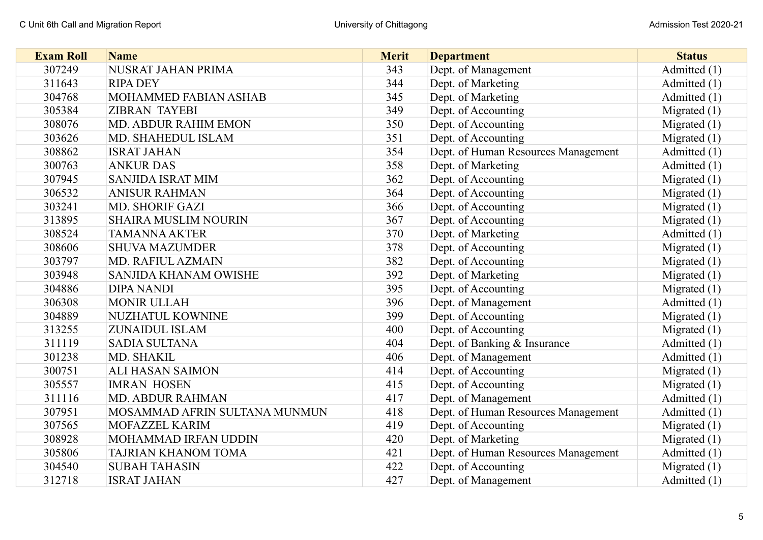| <b>Exam Roll</b> | <b>Name</b>                   | <b>Merit</b> | <b>Department</b>                   | <b>Status</b>  |
|------------------|-------------------------------|--------------|-------------------------------------|----------------|
| 307249           | NUSRAT JAHAN PRIMA            | 343          | Dept. of Management                 | Admitted (1)   |
| 311643           | <b>RIPA DEY</b>               | 344          | Dept. of Marketing                  | Admitted $(1)$ |
| 304768           | MOHAMMED FABIAN ASHAB         | 345          | Dept. of Marketing                  | Admitted (1)   |
| 305384           | <b>ZIBRAN TAYEBI</b>          | 349          | Dept. of Accounting                 | Migrated $(1)$ |
| 308076           | <b>MD. ABDUR RAHIM EMON</b>   | 350          | Dept. of Accounting                 | Migrated $(1)$ |
| 303626           | MD. SHAHEDUL ISLAM            | 351          | Dept. of Accounting                 | Migrated $(1)$ |
| 308862           | <b>ISRAT JAHAN</b>            | 354          | Dept. of Human Resources Management | Admitted (1)   |
| 300763           | <b>ANKUR DAS</b>              | 358          | Dept. of Marketing                  | Admitted (1)   |
| 307945           | <b>SANJIDA ISRAT MIM</b>      | 362          | Dept. of Accounting                 | Migrated $(1)$ |
| 306532           | <b>ANISUR RAHMAN</b>          | 364          | Dept. of Accounting                 | Migrated $(1)$ |
| 303241           | MD. SHORIF GAZI               | 366          | Dept. of Accounting                 | Migrated $(1)$ |
| 313895           | <b>SHAIRA MUSLIM NOURIN</b>   | 367          | Dept. of Accounting                 | Migrated $(1)$ |
| 308524           | <b>TAMANNA AKTER</b>          | 370          | Dept. of Marketing                  | Admitted (1)   |
| 308606           | <b>SHUVA MAZUMDER</b>         | 378          | Dept. of Accounting                 | Migrated $(1)$ |
| 303797           | MD. RAFIUL AZMAIN             | 382          | Dept. of Accounting                 | Migrated $(1)$ |
| 303948           | SANJIDA KHANAM OWISHE         | 392          | Dept. of Marketing                  | Migrated $(1)$ |
| 304886           | <b>DIPA NANDI</b>             | 395          | Dept. of Accounting                 | Migrated $(1)$ |
| 306308           | <b>MONIR ULLAH</b>            | 396          | Dept. of Management                 | Admitted $(1)$ |
| 304889           | NUZHATUL KOWNINE              | 399          | Dept. of Accounting                 | Migrated $(1)$ |
| 313255           | <b>ZUNAIDUL ISLAM</b>         | 400          | Dept. of Accounting                 | Migrated $(1)$ |
| 311119           | <b>SADIA SULTANA</b>          | 404          | Dept. of Banking & Insurance        | Admitted (1)   |
| 301238           | MD. SHAKIL                    | 406          | Dept. of Management                 | Admitted $(1)$ |
| 300751           | <b>ALI HASAN SAIMON</b>       | 414          | Dept. of Accounting                 | Migrated $(1)$ |
| 305557           | <b>IMRAN HOSEN</b>            | 415          | Dept. of Accounting                 | Migrated $(1)$ |
| 311116           | <b>MD. ABDUR RAHMAN</b>       | 417          | Dept. of Management                 | Admitted $(1)$ |
| 307951           | MOSAMMAD AFRIN SULTANA MUNMUN | 418          | Dept. of Human Resources Management | Admitted (1)   |
| 307565           | MOFAZZEL KARIM                | 419          | Dept. of Accounting                 | Migrated $(1)$ |
| 308928           | MOHAMMAD IRFAN UDDIN          | 420          | Dept. of Marketing                  | Migrated $(1)$ |
| 305806           | <b>TAJRIAN KHANOM TOMA</b>    | 421          | Dept. of Human Resources Management | Admitted $(1)$ |
| 304540           | <b>SUBAH TAHASIN</b>          | 422          | Dept. of Accounting                 | Migrated $(1)$ |
| 312718           | <b>ISRAT JAHAN</b>            | 427          | Dept. of Management                 | Admitted (1)   |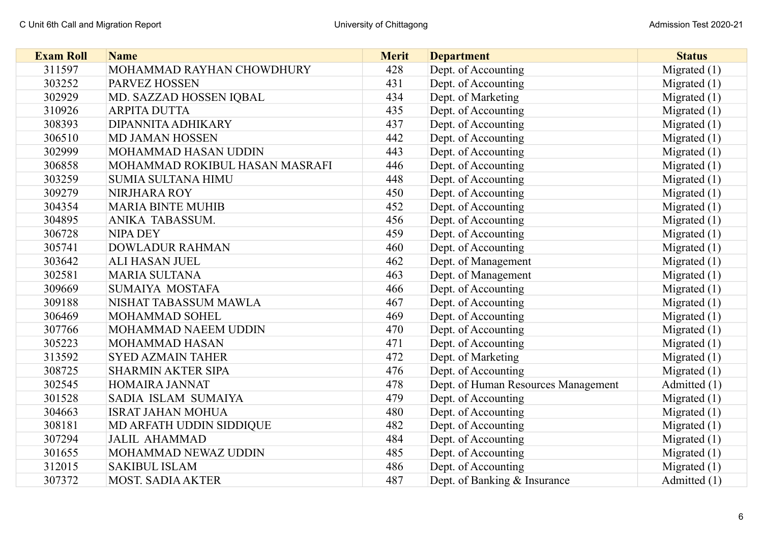| <b>Exam Roll</b> | <b>Name</b>                    | <b>Merit</b> | <b>Department</b>                   | <b>Status</b>  |
|------------------|--------------------------------|--------------|-------------------------------------|----------------|
| 311597           | MOHAMMAD RAYHAN CHOWDHURY      | 428          | Dept. of Accounting                 | Migrated $(1)$ |
| 303252           | PARVEZ HOSSEN                  | 431          | Dept. of Accounting                 | Migrated $(1)$ |
| 302929           | MD. SAZZAD HOSSEN IQBAL        | 434          | Dept. of Marketing                  | Migrated $(1)$ |
| 310926           | <b>ARPITA DUTTA</b>            | 435          | Dept. of Accounting                 | Migrated $(1)$ |
| 308393           | DIPANNITA ADHIKARY             | 437          | Dept. of Accounting                 | Migrated $(1)$ |
| 306510           | <b>MD JAMAN HOSSEN</b>         | 442          | Dept. of Accounting                 | Migrated $(1)$ |
| 302999           | MOHAMMAD HASAN UDDIN           | 443          | Dept. of Accounting                 | Migrated $(1)$ |
| 306858           | MOHAMMAD ROKIBUL HASAN MASRAFI | 446          | Dept. of Accounting                 | Migrated $(1)$ |
| 303259           | <b>SUMIA SULTANA HIMU</b>      | 448          | Dept. of Accounting                 | Migrated $(1)$ |
| 309279           | NIRJHARA ROY                   | 450          | Dept. of Accounting                 | Migrated $(1)$ |
| 304354           | <b>MARIA BINTE MUHIB</b>       | 452          | Dept. of Accounting                 | Migrated $(1)$ |
| 304895           | ANIKA TABASSUM.                | 456          | Dept. of Accounting                 | Migrated $(1)$ |
| 306728           | <b>NIPA DEY</b>                | 459          | Dept. of Accounting                 | Migrated $(1)$ |
| 305741           | <b>DOWLADUR RAHMAN</b>         | 460          | Dept. of Accounting                 | Migrated $(1)$ |
| 303642           | ALI HASAN JUEL                 | 462          | Dept. of Management                 | Migrated $(1)$ |
| 302581           | <b>MARIA SULTANA</b>           | 463          | Dept. of Management                 | Migrated $(1)$ |
| 309669           | SUMAIYA MOSTAFA                | 466          | Dept. of Accounting                 | Migrated $(1)$ |
| 309188           | NISHAT TABASSUM MAWLA          | 467          | Dept. of Accounting                 | Migrated $(1)$ |
| 306469           | MOHAMMAD SOHEL                 | 469          | Dept. of Accounting                 | Migrated $(1)$ |
| 307766           | MOHAMMAD NAEEM UDDIN           | 470          | Dept. of Accounting                 | Migrated $(1)$ |
| 305223           | MOHAMMAD HASAN                 | 471          | Dept. of Accounting                 | Migrated $(1)$ |
| 313592           | <b>SYED AZMAIN TAHER</b>       | 472          | Dept. of Marketing                  | Migrated $(1)$ |
| 308725           | <b>SHARMIN AKTER SIPA</b>      | 476          | Dept. of Accounting                 | Migrated $(1)$ |
| 302545           | HOMAIRA JANNAT                 | 478          | Dept. of Human Resources Management | Admitted (1)   |
| 301528           | SADIA ISLAM SUMAIYA            | 479          | Dept. of Accounting                 | Migrated $(1)$ |
| 304663           | <b>ISRAT JAHAN MOHUA</b>       | 480          | Dept. of Accounting                 | Migrated $(1)$ |
| 308181           | MD ARFATH UDDIN SIDDIQUE       | 482          | Dept. of Accounting                 | Migrated $(1)$ |
| 307294           | <b>JALIL AHAMMAD</b>           | 484          | Dept. of Accounting                 | Migrated $(1)$ |
| 301655           | MOHAMMAD NEWAZ UDDIN           | 485          | Dept. of Accounting                 | Migrated $(1)$ |
| 312015           | <b>SAKIBUL ISLAM</b>           | 486          | Dept. of Accounting                 | Migrated $(1)$ |
| 307372           | <b>MOST. SADIA AKTER</b>       | 487          | Dept. of Banking & Insurance        | Admitted (1)   |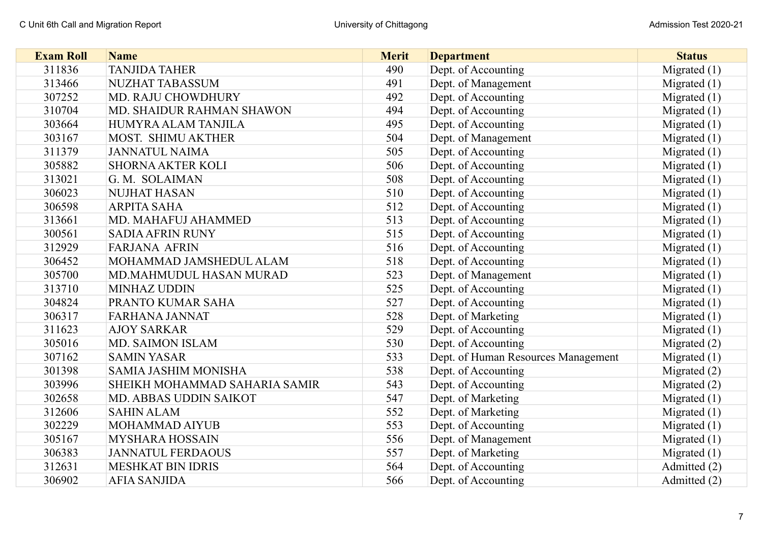| <b>Exam Roll</b> | <b>Name</b>                      | <b>Merit</b> | <b>Department</b>                   | <b>Status</b>  |
|------------------|----------------------------------|--------------|-------------------------------------|----------------|
| 311836           | <b>TANJIDA TAHER</b>             | 490          | Dept. of Accounting                 | Migrated $(1)$ |
| 313466           | <b>NUZHAT TABASSUM</b>           | 491          | Dept. of Management                 | Migrated $(1)$ |
| 307252           | MD. RAJU CHOWDHURY               | 492          | Dept. of Accounting                 | Migrated $(1)$ |
| 310704           | <b>MD. SHAIDUR RAHMAN SHAWON</b> | 494          | Dept. of Accounting                 | Migrated $(1)$ |
| 303664           | HUMYRA ALAM TANJILA              | 495          | Dept. of Accounting                 | Migrated $(1)$ |
| 303167           | MOST. SHIMU AKTHER               | 504          | Dept. of Management                 | Migrated $(1)$ |
| 311379           | <b>JANNATUL NAIMA</b>            | 505          | Dept. of Accounting                 | Migrated $(1)$ |
| 305882           | <b>SHORNA AKTER KOLI</b>         | 506          | Dept. of Accounting                 | Migrated $(1)$ |
| 313021           | G. M. SOLAIMAN                   | 508          | Dept. of Accounting                 | Migrated $(1)$ |
| 306023           | <b>NUJHAT HASAN</b>              | 510          | Dept. of Accounting                 | Migrated $(1)$ |
| 306598           | <b>ARPITA SAHA</b>               | 512          | Dept. of Accounting                 | Migrated $(1)$ |
| 313661           | MD. MAHAFUJ AHAMMED              | 513          | Dept. of Accounting                 | Migrated $(1)$ |
| 300561           | <b>SADIA AFRIN RUNY</b>          | 515          | Dept. of Accounting                 | Migrated $(1)$ |
| 312929           | <b>FARJANA AFRIN</b>             | 516          | Dept. of Accounting                 | Migrated $(1)$ |
| 306452           | MOHAMMAD JAMSHEDUL ALAM          | 518          | Dept. of Accounting                 | Migrated $(1)$ |
| 305700           | MD.MAHMUDUL HASAN MURAD          | 523          | Dept. of Management                 | Migrated $(1)$ |
| 313710           | <b>MINHAZ UDDIN</b>              | 525          | Dept. of Accounting                 | Migrated $(1)$ |
| 304824           | PRANTO KUMAR SAHA                | 527          | Dept. of Accounting                 | Migrated $(1)$ |
| 306317           | <b>FARHANA JANNAT</b>            | 528          | Dept. of Marketing                  | Migrated $(1)$ |
| 311623           | <b>AJOY SARKAR</b>               | 529          | Dept. of Accounting                 | Migrated $(1)$ |
| 305016           | MD. SAIMON ISLAM                 | 530          | Dept. of Accounting                 | Migrated $(2)$ |
| 307162           | <b>SAMIN YASAR</b>               | 533          | Dept. of Human Resources Management | Migrated $(1)$ |
| 301398           | <b>SAMIA JASHIM MONISHA</b>      | 538          | Dept. of Accounting                 | Migrated $(2)$ |
| 303996           | SHEIKH MOHAMMAD SAHARIA SAMIR    | 543          | Dept. of Accounting                 | Migrated (2)   |
| 302658           | MD. ABBAS UDDIN SAIKOT           | 547          | Dept. of Marketing                  | Migrated $(1)$ |
| 312606           | <b>SAHIN ALAM</b>                | 552          | Dept. of Marketing                  | Migrated $(1)$ |
| 302229           | MOHAMMAD AIYUB                   | 553          | Dept. of Accounting                 | Migrated $(1)$ |
| 305167           | <b>MYSHARA HOSSAIN</b>           | 556          | Dept. of Management                 | Migrated $(1)$ |
| 306383           | <b>JANNATUL FERDAOUS</b>         | 557          | Dept. of Marketing                  | Migrated $(1)$ |
| 312631           | <b>MESHKAT BIN IDRIS</b>         | 564          | Dept. of Accounting                 | Admitted (2)   |
| 306902           | <b>AFIA SANJIDA</b>              | 566          | Dept. of Accounting                 | Admitted (2)   |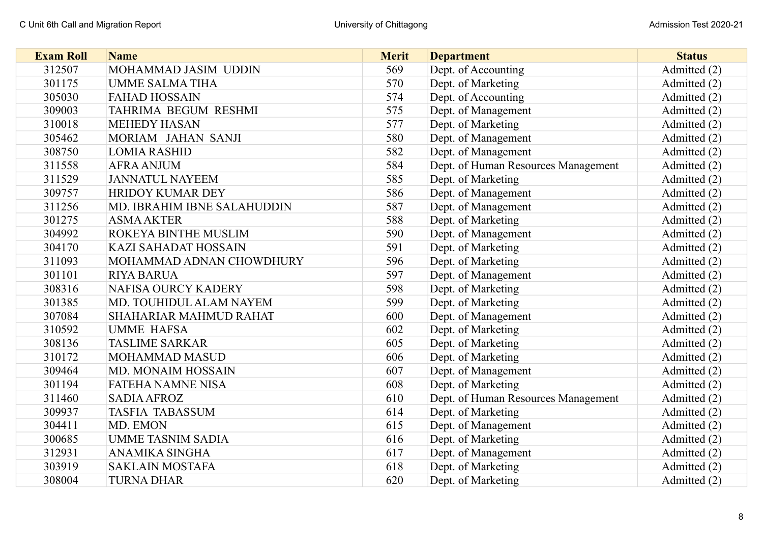| <b>Exam Roll</b> | <b>Name</b>                 | <b>Merit</b> | <b>Department</b>                   | <b>Status</b> |
|------------------|-----------------------------|--------------|-------------------------------------|---------------|
| 312507           | MOHAMMAD JASIM UDDIN        | 569          | Dept. of Accounting                 | Admitted (2)  |
| 301175           | <b>UMME SALMA TIHA</b>      | 570          | Dept. of Marketing                  | Admitted (2)  |
| 305030           | <b>FAHAD HOSSAIN</b>        | 574          | Dept. of Accounting                 | Admitted (2)  |
| 309003           | TAHRIMA BEGUM RESHMI        | 575          | Dept. of Management                 | Admitted (2)  |
| 310018           | <b>MEHEDY HASAN</b>         | 577          | Dept. of Marketing                  | Admitted (2)  |
| 305462           | MORIAM JAHAN SANJI          | 580          | Dept. of Management                 | Admitted (2)  |
| 308750           | <b>LOMIA RASHID</b>         | 582          | Dept. of Management                 | Admitted (2)  |
| 311558           | <b>AFRA ANJUM</b>           | 584          | Dept. of Human Resources Management | Admitted (2)  |
| 311529           | <b>JANNATUL NAYEEM</b>      | 585          | Dept. of Marketing                  | Admitted (2)  |
| 309757           | <b>HRIDOY KUMAR DEY</b>     | 586          | Dept. of Management                 | Admitted (2)  |
| 311256           | MD. IBRAHIM IBNE SALAHUDDIN | 587          | Dept. of Management                 | Admitted (2)  |
| 301275           | <b>ASMA AKTER</b>           | 588          | Dept. of Marketing                  | Admitted (2)  |
| 304992           | <b>ROKEYA BINTHE MUSLIM</b> | 590          | Dept. of Management                 | Admitted (2)  |
| 304170           | <b>KAZI SAHADAT HOSSAIN</b> | 591          | Dept. of Marketing                  | Admitted (2)  |
| 311093           | MOHAMMAD ADNAN CHOWDHURY    | 596          | Dept. of Marketing                  | Admitted (2)  |
| 301101           | <b>RIYA BARUA</b>           | 597          | Dept. of Management                 | Admitted (2)  |
| 308316           | <b>NAFISA OURCY KADERY</b>  | 598          | Dept. of Marketing                  | Admitted (2)  |
| 301385           | MD. TOUHIDUL ALAM NAYEM     | 599          | Dept. of Marketing                  | Admitted (2)  |
| 307084           | SHAHARIAR MAHMUD RAHAT      | 600          | Dept. of Management                 | Admitted (2)  |
| 310592           | <b>UMME HAFSA</b>           | 602          | Dept. of Marketing                  | Admitted (2)  |
| 308136           | <b>TASLIME SARKAR</b>       | 605          | Dept. of Marketing                  | Admitted (2)  |
| 310172           | <b>MOHAMMAD MASUD</b>       | 606          | Dept. of Marketing                  | Admitted (2)  |
| 309464           | MD. MONAIM HOSSAIN          | 607          | Dept. of Management                 | Admitted (2)  |
| 301194           | <b>FATEHA NAMNE NISA</b>    | 608          | Dept. of Marketing                  | Admitted (2)  |
| 311460           | <b>SADIA AFROZ</b>          | 610          | Dept. of Human Resources Management | Admitted (2)  |
| 309937           | <b>TASFIA TABASSUM</b>      | 614          | Dept. of Marketing                  | Admitted (2)  |
| 304411           | MD. EMON                    | 615          | Dept. of Management                 | Admitted (2)  |
| 300685           | <b>UMME TASNIM SADIA</b>    | 616          | Dept. of Marketing                  | Admitted (2)  |
| 312931           | ANAMIKA SINGHA              | 617          | Dept. of Management                 | Admitted (2)  |
| 303919           | <b>SAKLAIN MOSTAFA</b>      | 618          | Dept. of Marketing                  | Admitted (2)  |
| 308004           | <b>TURNA DHAR</b>           | 620          | Dept. of Marketing                  | Admitted (2)  |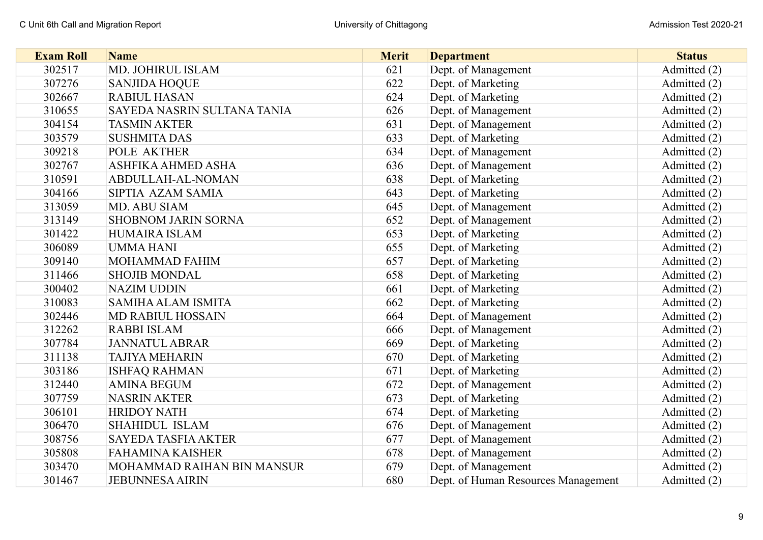| <b>Exam Roll</b> | <b>Name</b>                 | <b>Merit</b> | <b>Department</b>                   | <b>Status</b> |
|------------------|-----------------------------|--------------|-------------------------------------|---------------|
| 302517           | MD. JOHIRUL ISLAM           | 621          | Dept. of Management                 | Admitted (2)  |
| 307276           | <b>SANJIDA HOQUE</b>        | 622          | Dept. of Marketing                  | Admitted (2)  |
| 302667           | <b>RABIUL HASAN</b>         | 624          | Dept. of Marketing                  | Admitted (2)  |
| 310655           | SAYEDA NASRIN SULTANA TANIA | 626          | Dept. of Management                 | Admitted (2)  |
| 304154           | <b>TASMIN AKTER</b>         | 631          | Dept. of Management                 | Admitted (2)  |
| 303579           | <b>SUSHMITA DAS</b>         | 633          | Dept. of Marketing                  | Admitted (2)  |
| 309218           | POLE AKTHER                 | 634          | Dept. of Management                 | Admitted (2)  |
| 302767           | ASHFIKA AHMED ASHA          | 636          | Dept. of Management                 | Admitted (2)  |
| 310591           | ABDULLAH-AL-NOMAN           | 638          | Dept. of Marketing                  | Admitted (2)  |
| 304166           | SIPTIA AZAM SAMIA           | 643          | Dept. of Marketing                  | Admitted (2)  |
| 313059           | MD. ABU SIAM                | 645          | Dept. of Management                 | Admitted (2)  |
| 313149           | <b>SHOBNOM JARIN SORNA</b>  | 652          | Dept. of Management                 | Admitted (2)  |
| 301422           | <b>HUMAIRA ISLAM</b>        | 653          | Dept. of Marketing                  | Admitted (2)  |
| 306089           | <b>UMMA HANI</b>            | 655          | Dept. of Marketing                  | Admitted (2)  |
| 309140           | MOHAMMAD FAHIM              | 657          | Dept. of Marketing                  | Admitted (2)  |
| 311466           | <b>SHOJIB MONDAL</b>        | 658          | Dept. of Marketing                  | Admitted (2)  |
| 300402           | <b>NAZIM UDDIN</b>          | 661          | Dept. of Marketing                  | Admitted (2)  |
| 310083           | <b>SAMIHA ALAM ISMITA</b>   | 662          | Dept. of Marketing                  | Admitted (2)  |
| 302446           | <b>MD RABIUL HOSSAIN</b>    | 664          | Dept. of Management                 | Admitted (2)  |
| 312262           | <b>RABBI ISLAM</b>          | 666          | Dept. of Management                 | Admitted (2)  |
| 307784           | <b>JANNATUL ABRAR</b>       | 669          | Dept. of Marketing                  | Admitted (2)  |
| 311138           | <b>TAJIYA MEHARIN</b>       | 670          | Dept. of Marketing                  | Admitted (2)  |
| 303186           | <b>ISHFAQ RAHMAN</b>        | 671          | Dept. of Marketing                  | Admitted (2)  |
| 312440           | <b>AMINA BEGUM</b>          | 672          | Dept. of Management                 | Admitted (2)  |
| 307759           | <b>NASRIN AKTER</b>         | 673          | Dept. of Marketing                  | Admitted (2)  |
| 306101           | <b>HRIDOY NATH</b>          | 674          | Dept. of Marketing                  | Admitted (2)  |
| 306470           | <b>SHAHIDUL ISLAM</b>       | 676          | Dept. of Management                 | Admitted (2)  |
| 308756           | <b>SAYEDA TASFIA AKTER</b>  | 677          | Dept. of Management                 | Admitted (2)  |
| 305808           | <b>FAHAMINA KAISHER</b>     | 678          | Dept. of Management                 | Admitted (2)  |
| 303470           | MOHAMMAD RAIHAN BIN MANSUR  | 679          | Dept. of Management                 | Admitted (2)  |
| 301467           | <b>JEBUNNESA AIRIN</b>      | 680          | Dept. of Human Resources Management | Admitted (2)  |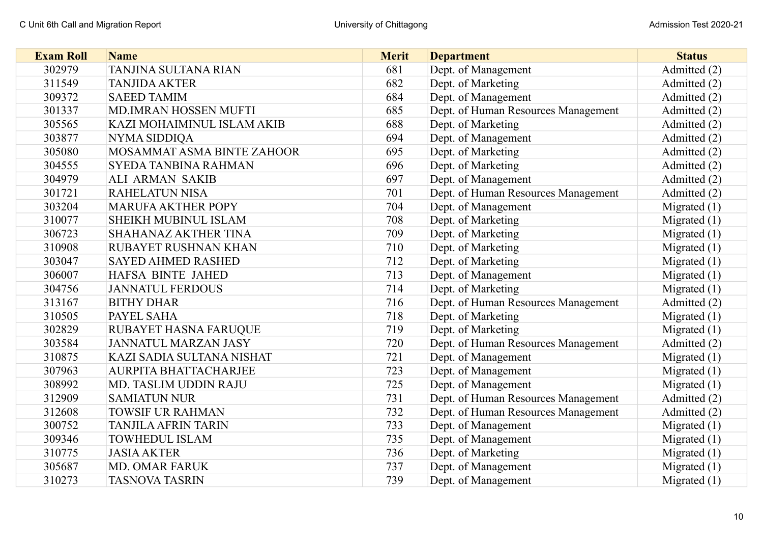| <b>Exam Roll</b> | <b>Name</b>                  | <b>Merit</b> | <b>Department</b>                   | <b>Status</b>  |
|------------------|------------------------------|--------------|-------------------------------------|----------------|
| 302979           | TANJINA SULTANA RIAN         | 681          | Dept. of Management                 | Admitted (2)   |
| 311549           | <b>TANJIDA AKTER</b>         | 682          | Dept. of Marketing                  | Admitted (2)   |
| 309372           | <b>SAEED TAMIM</b>           | 684          | Dept. of Management                 | Admitted (2)   |
| 301337           | MD.IMRAN HOSSEN MUFTI        | 685          | Dept. of Human Resources Management | Admitted (2)   |
| 305565           | KAZI MOHAIMINUL ISLAM AKIB   | 688          | Dept. of Marketing                  | Admitted (2)   |
| 303877           | NYMA SIDDIQA                 | 694          | Dept. of Management                 | Admitted (2)   |
| 305080           | MOSAMMAT ASMA BINTE ZAHOOR   | 695          | Dept. of Marketing                  | Admitted (2)   |
| 304555           | <b>SYEDA TANBINA RAHMAN</b>  | 696          | Dept. of Marketing                  | Admitted (2)   |
| 304979           | ALI ARMAN SAKIB              | 697          | Dept. of Management                 | Admitted (2)   |
| 301721           | <b>RAHELATUN NISA</b>        | 701          | Dept. of Human Resources Management | Admitted (2)   |
| 303204           | <b>MARUFA AKTHER POPY</b>    | 704          | Dept. of Management                 | Migrated $(1)$ |
| 310077           | SHEIKH MUBINUL ISLAM         | 708          | Dept. of Marketing                  | Migrated $(1)$ |
| 306723           | SHAHANAZ AKTHER TINA         | 709          | Dept. of Marketing                  | Migrated $(1)$ |
| 310908           | RUBAYET RUSHNAN KHAN         | 710          | Dept. of Marketing                  | Migrated $(1)$ |
| 303047           | <b>SAYED AHMED RASHED</b>    | 712          | Dept. of Marketing                  | Migrated $(1)$ |
| 306007           | HAFSA BINTE JAHED            | 713          | Dept. of Management                 | Migrated $(1)$ |
| 304756           | <b>JANNATUL FERDOUS</b>      | 714          | Dept. of Marketing                  | Migrated $(1)$ |
| 313167           | <b>BITHY DHAR</b>            | 716          | Dept. of Human Resources Management | Admitted (2)   |
| 310505           | <b>PAYEL SAHA</b>            | 718          | Dept. of Marketing                  | Migrated $(1)$ |
| 302829           | RUBAYET HASNA FARUQUE        | 719          | Dept. of Marketing                  | Migrated $(1)$ |
| 303584           | <b>JANNATUL MARZAN JASY</b>  | 720          | Dept. of Human Resources Management | Admitted (2)   |
| 310875           | KAZI SADIA SULTANA NISHAT    | 721          | Dept. of Management                 | Migrated $(1)$ |
| 307963           | <b>AURPITA BHATTACHARJEE</b> | 723          | Dept. of Management                 | Migrated $(1)$ |
| 308992           | MD. TASLIM UDDIN RAJU        | 725          | Dept. of Management                 | Migrated $(1)$ |
| 312909           | <b>SAMIATUN NUR</b>          | 731          | Dept. of Human Resources Management | Admitted (2)   |
| 312608           | <b>TOWSIF UR RAHMAN</b>      | 732          | Dept. of Human Resources Management | Admitted (2)   |
| 300752           | <b>TANJILA AFRIN TARIN</b>   | 733          | Dept. of Management                 | Migrated $(1)$ |
| 309346           | <b>TOWHEDUL ISLAM</b>        | 735          | Dept. of Management                 | Migrated $(1)$ |
| 310775           | <b>JASIA AKTER</b>           | 736          | Dept. of Marketing                  | Migrated $(1)$ |
| 305687           | <b>MD. OMAR FARUK</b>        | 737          | Dept. of Management                 | Migrated $(1)$ |
| 310273           | <b>TASNOVA TASRIN</b>        | 739          | Dept. of Management                 | Migrated $(1)$ |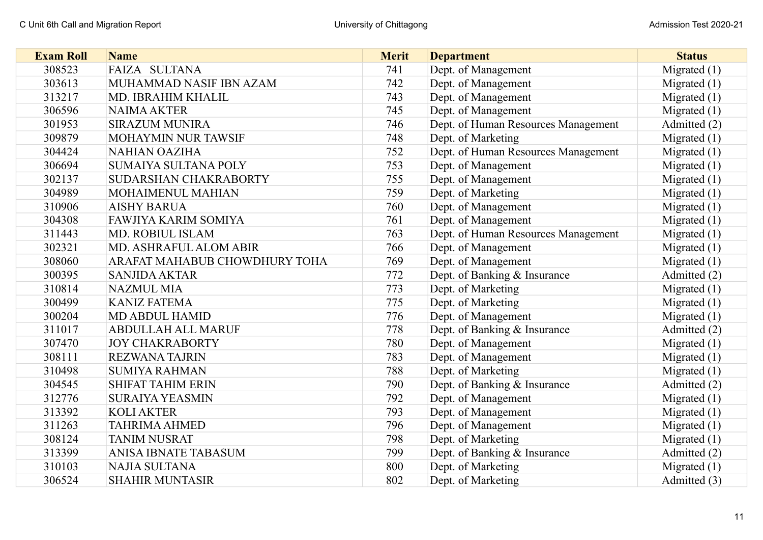| <b>Exam Roll</b> | <b>Name</b>                   | <b>Merit</b> | <b>Department</b>                   | <b>Status</b>  |
|------------------|-------------------------------|--------------|-------------------------------------|----------------|
| 308523           | FAIZA SULTANA                 | 741          | Dept. of Management                 | Migrated $(1)$ |
| 303613           | MUHAMMAD NASIF IBN AZAM       | 742          | Dept. of Management                 | Migrated $(1)$ |
| 313217           | MD. IBRAHIM KHALIL            | 743          | Dept. of Management                 | Migrated $(1)$ |
| 306596           | <b>NAIMA AKTER</b>            | 745          | Dept. of Management                 | Migrated $(1)$ |
| 301953           | <b>SIRAZUM MUNIRA</b>         | 746          | Dept. of Human Resources Management | Admitted (2)   |
| 309879           | MOHAYMIN NUR TAWSIF           | 748          | Dept. of Marketing                  | Migrated $(1)$ |
| 304424           | <b>NAHIAN OAZIHA</b>          | 752          | Dept. of Human Resources Management | Migrated $(1)$ |
| 306694           | SUMAIYA SULTANA POLY          | 753          | Dept. of Management                 | Migrated $(1)$ |
| 302137           | SUDARSHAN CHAKRABORTY         | 755          | Dept. of Management                 | Migrated $(1)$ |
| 304989           | MOHAIMENUL MAHIAN             | 759          | Dept. of Marketing                  | Migrated $(1)$ |
| 310906           | <b>AISHY BARUA</b>            | 760          | Dept. of Management                 | Migrated $(1)$ |
| 304308           | <b>FAWJIYA KARIM SOMIYA</b>   | 761          | Dept. of Management                 | Migrated $(1)$ |
| 311443           | MD. ROBIUL ISLAM              | 763          | Dept. of Human Resources Management | Migrated $(1)$ |
| 302321           | MD. ASHRAFUL ALOM ABIR        | 766          | Dept. of Management                 | Migrated $(1)$ |
| 308060           | ARAFAT MAHABUB CHOWDHURY TOHA | 769          | Dept. of Management                 | Migrated $(1)$ |
| 300395           | <b>SANJIDA AKTAR</b>          | 772          | Dept. of Banking & Insurance        | Admitted (2)   |
| 310814           | <b>NAZMUL MIA</b>             | 773          | Dept. of Marketing                  | Migrated $(1)$ |
| 300499           | <b>KANIZ FATEMA</b>           | 775          | Dept. of Marketing                  | Migrated $(1)$ |
| 300204           | <b>MD ABDUL HAMID</b>         | 776          | Dept. of Management                 | Migrated $(1)$ |
| 311017           | <b>ABDULLAH ALL MARUF</b>     | 778          | Dept. of Banking & Insurance        | Admitted (2)   |
| 307470           | <b>JOY CHAKRABORTY</b>        | 780          | Dept. of Management                 | Migrated $(1)$ |
| 308111           | <b>REZWANA TAJRIN</b>         | 783          | Dept. of Management                 | Migrated $(1)$ |
| 310498           | <b>SUMIYA RAHMAN</b>          | 788          | Dept. of Marketing                  | Migrated $(1)$ |
| 304545           | <b>SHIFAT TAHIM ERIN</b>      | 790          | Dept. of Banking & Insurance        | Admitted (2)   |
| 312776           | <b>SURAIYA YEASMIN</b>        | 792          | Dept. of Management                 | Migrated $(1)$ |
| 313392           | <b>KOLI AKTER</b>             | 793          | Dept. of Management                 | Migrated $(1)$ |
| 311263           | <b>TAHRIMA AHMED</b>          | 796          | Dept. of Management                 | Migrated $(1)$ |
| 308124           | <b>TANIM NUSRAT</b>           | 798          | Dept. of Marketing                  | Migrated $(1)$ |
| 313399           | <b>ANISA IBNATE TABASUM</b>   | 799          | Dept. of Banking & Insurance        | Admitted (2)   |
| 310103           | <b>NAJIA SULTANA</b>          | 800          | Dept. of Marketing                  | Migrated $(1)$ |
| 306524           | <b>SHAHIR MUNTASIR</b>        | 802          | Dept. of Marketing                  | Admitted (3)   |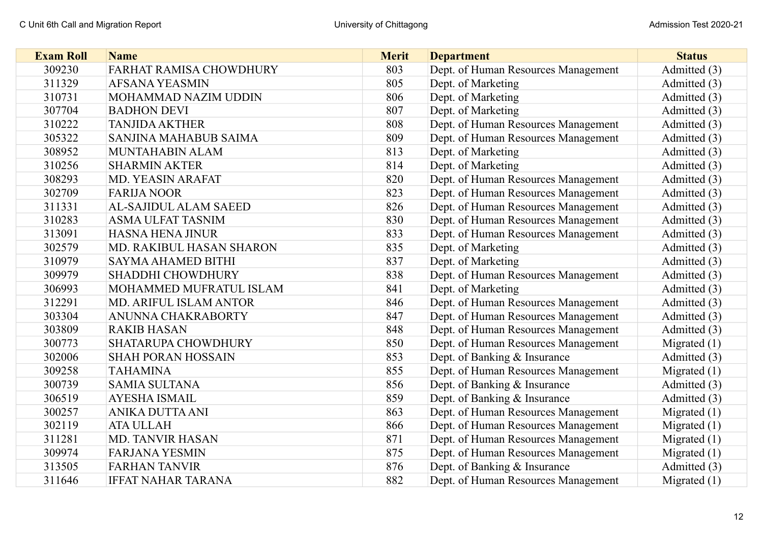| <b>Exam Roll</b> | <b>Name</b>               | <b>Merit</b> | <b>Department</b>                   | <b>Status</b>  |
|------------------|---------------------------|--------------|-------------------------------------|----------------|
| 309230           | FARHAT RAMISA CHOWDHURY   | 803          | Dept. of Human Resources Management | Admitted (3)   |
| 311329           | <b>AFSANA YEASMIN</b>     | 805          | Dept. of Marketing                  | Admitted (3)   |
| 310731           | MOHAMMAD NAZIM UDDIN      | 806          | Dept. of Marketing                  | Admitted (3)   |
| 307704           | <b>BADHON DEVI</b>        | 807          | Dept. of Marketing                  | Admitted (3)   |
| 310222           | <b>TANJIDA AKTHER</b>     | 808          | Dept. of Human Resources Management | Admitted (3)   |
| 305322           | SANJINA MAHABUB SAIMA     | 809          | Dept. of Human Resources Management | Admitted (3)   |
| 308952           | MUNTAHABIN ALAM           | 813          | Dept. of Marketing                  | Admitted (3)   |
| 310256           | <b>SHARMIN AKTER</b>      | 814          | Dept. of Marketing                  | Admitted (3)   |
| 308293           | MD. YEASIN ARAFAT         | 820          | Dept. of Human Resources Management | Admitted (3)   |
| 302709           | <b>FARIJA NOOR</b>        | 823          | Dept. of Human Resources Management | Admitted (3)   |
| 311331           | AL-SAJIDUL ALAM SAEED     | 826          | Dept. of Human Resources Management | Admitted (3)   |
| 310283           | <b>ASMA ULFAT TASNIM</b>  | 830          | Dept. of Human Resources Management | Admitted (3)   |
| 313091           | <b>HASNA HENA JINUR</b>   | 833          | Dept. of Human Resources Management | Admitted (3)   |
| 302579           | MD. RAKIBUL HASAN SHARON  | 835          | Dept. of Marketing                  | Admitted (3)   |
| 310979           | SAYMA AHAMED BITHI        | 837          | Dept. of Marketing                  | Admitted (3)   |
| 309979           | <b>SHADDHI CHOWDHURY</b>  | 838          | Dept. of Human Resources Management | Admitted (3)   |
| 306993           | MOHAMMED MUFRATUL ISLAM   | 841          | Dept. of Marketing                  | Admitted (3)   |
| 312291           | MD. ARIFUL ISLAM ANTOR    | 846          | Dept. of Human Resources Management | Admitted (3)   |
| 303304           | ANUNNA CHAKRABORTY        | 847          | Dept. of Human Resources Management | Admitted (3)   |
| 303809           | <b>RAKIB HASAN</b>        | 848          | Dept. of Human Resources Management | Admitted (3)   |
| 300773           | SHATARUPA CHOWDHURY       | 850          | Dept. of Human Resources Management | Migrated $(1)$ |
| 302006           | <b>SHAH PORAN HOSSAIN</b> | 853          | Dept. of Banking & Insurance        | Admitted (3)   |
| 309258           | <b>TAHAMINA</b>           | 855          | Dept. of Human Resources Management | Migrated $(1)$ |
| 300739           | <b>SAMIA SULTANA</b>      | 856          | Dept. of Banking & Insurance        | Admitted (3)   |
| 306519           | <b>AYESHA ISMAIL</b>      | 859          | Dept. of Banking & Insurance        | Admitted (3)   |
| 300257           | ANIKA DUTTA ANI           | 863          | Dept. of Human Resources Management | Migrated $(1)$ |
| 302119           | <b>ATA ULLAH</b>          | 866          | Dept. of Human Resources Management | Migrated $(1)$ |
| 311281           | <b>MD. TANVIR HASAN</b>   | 871          | Dept. of Human Resources Management | Migrated $(1)$ |
| 309974           | <b>FARJANA YESMIN</b>     | 875          | Dept. of Human Resources Management | Migrated $(1)$ |
| 313505           | <b>FARHAN TANVIR</b>      | 876          | Dept. of Banking & Insurance        | Admitted (3)   |
| 311646           | <b>IFFAT NAHAR TARANA</b> | 882          | Dept. of Human Resources Management | Migrated $(1)$ |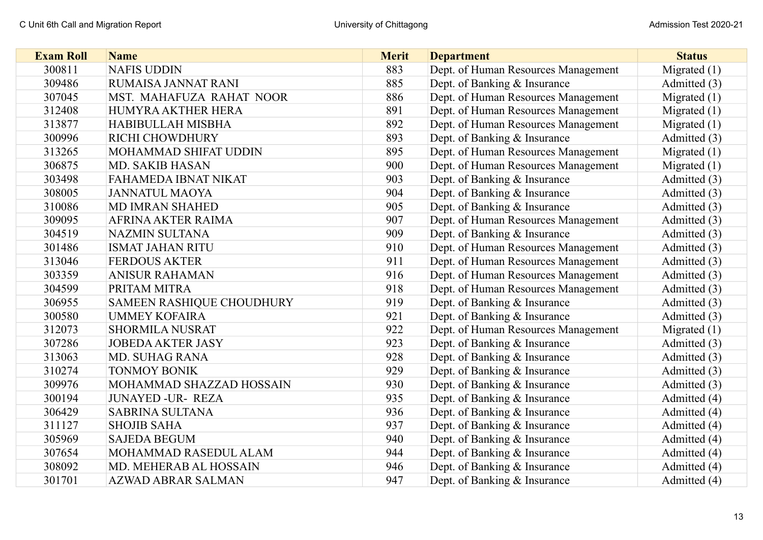| <b>Exam Roll</b> | <b>Name</b>               | <b>Merit</b> | <b>Department</b>                   | <b>Status</b>  |
|------------------|---------------------------|--------------|-------------------------------------|----------------|
| 300811           | <b>NAFIS UDDIN</b>        | 883          | Dept. of Human Resources Management | Migrated $(1)$ |
| 309486           | RUMAISA JANNAT RANI       | 885          | Dept. of Banking & Insurance        | Admitted (3)   |
| 307045           | MST. MAHAFUZA RAHAT NOOR  | 886          | Dept. of Human Resources Management | Migrated $(1)$ |
| 312408           | HUMYRA AKTHER HERA        | 891          | Dept. of Human Resources Management | Migrated $(1)$ |
| 313877           | HABIBULLAH MISBHA         | 892          | Dept. of Human Resources Management | Migrated $(1)$ |
| 300996           | RICHI CHOWDHURY           | 893          | Dept. of Banking & Insurance        | Admitted (3)   |
| 313265           | MOHAMMAD SHIFAT UDDIN     | 895          | Dept. of Human Resources Management | Migrated $(1)$ |
| 306875           | <b>MD. SAKIB HASAN</b>    | 900          | Dept. of Human Resources Management | Migrated $(1)$ |
| 303498           | FAHAMEDA IBNAT NIKAT      | 903          | Dept. of Banking & Insurance        | Admitted (3)   |
| 308005           | <b>JANNATUL MAOYA</b>     | 904          | Dept. of Banking & Insurance        | Admitted (3)   |
| 310086           | MD IMRAN SHAHED           | 905          | Dept. of Banking & Insurance        | Admitted (3)   |
| 309095           | AFRINA AKTER RAIMA        | 907          | Dept. of Human Resources Management | Admitted (3)   |
| 304519           | <b>NAZMIN SULTANA</b>     | 909          | Dept. of Banking & Insurance        | Admitted (3)   |
| 301486           | <b>ISMAT JAHAN RITU</b>   | 910          | Dept. of Human Resources Management | Admitted (3)   |
| 313046           | <b>FERDOUS AKTER</b>      | 911          | Dept. of Human Resources Management | Admitted (3)   |
| 303359           | <b>ANISUR RAHAMAN</b>     | 916          | Dept. of Human Resources Management | Admitted (3)   |
| 304599           | PRITAM MITRA              | 918          | Dept. of Human Resources Management | Admitted (3)   |
| 306955           | SAMEEN RASHIQUE CHOUDHURY | 919          | Dept. of Banking & Insurance        | Admitted (3)   |
| 300580           | <b>UMMEY KOFAIRA</b>      | 921          | Dept. of Banking & Insurance        | Admitted (3)   |
| 312073           | <b>SHORMILA NUSRAT</b>    | 922          | Dept. of Human Resources Management | Migrated $(1)$ |
| 307286           | <b>JOBEDA AKTER JASY</b>  | 923          | Dept. of Banking & Insurance        | Admitted (3)   |
| 313063           | <b>MD. SUHAG RANA</b>     | 928          | Dept. of Banking & Insurance        | Admitted (3)   |
| 310274           | <b>TONMOY BONIK</b>       | 929          | Dept. of Banking & Insurance        | Admitted (3)   |
| 309976           | MOHAMMAD SHAZZAD HOSSAIN  | 930          | Dept. of Banking & Insurance        | Admitted (3)   |
| 300194           | <b>JUNAYED -UR- REZA</b>  | 935          | Dept. of Banking & Insurance        | Admitted (4)   |
| 306429           | <b>SABRINA SULTANA</b>    | 936          | Dept. of Banking & Insurance        | Admitted (4)   |
| 311127           | <b>SHOJIB SAHA</b>        | 937          | Dept. of Banking & Insurance        | Admitted (4)   |
| 305969           | <b>SAJEDA BEGUM</b>       | 940          | Dept. of Banking & Insurance        | Admitted (4)   |
| 307654           | MOHAMMAD RASEDUL ALAM     | 944          | Dept. of Banking & Insurance        | Admitted (4)   |
| 308092           | MD. MEHERAB AL HOSSAIN    | 946          | Dept. of Banking & Insurance        | Admitted (4)   |
| 301701           | <b>AZWAD ABRAR SALMAN</b> | 947          | Dept. of Banking & Insurance        | Admitted (4)   |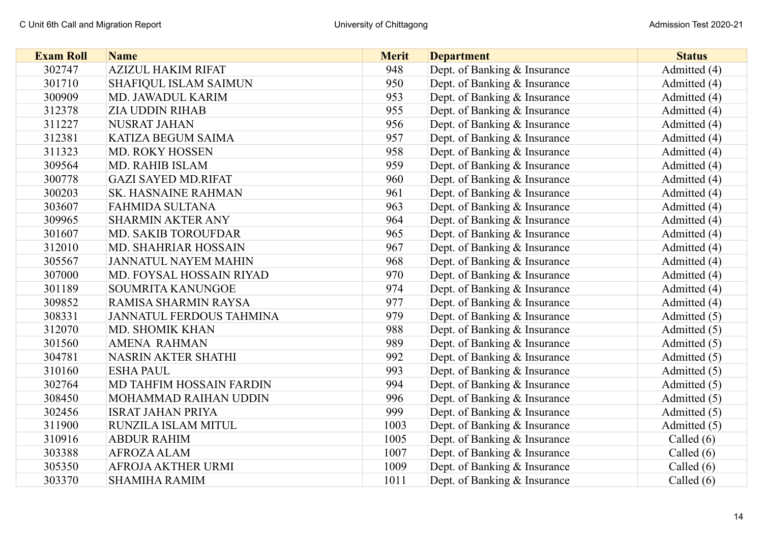| <b>Exam Roll</b> | <b>Name</b>                     | <b>Merit</b> | <b>Department</b>            | <b>Status</b> |
|------------------|---------------------------------|--------------|------------------------------|---------------|
| 302747           | <b>AZIZUL HAKIM RIFAT</b>       | 948          | Dept. of Banking & Insurance | Admitted (4)  |
| 301710           | SHAFIQUL ISLAM SAIMUN           | 950          | Dept. of Banking & Insurance | Admitted (4)  |
| 300909           | MD. JAWADUL KARIM               | 953          | Dept. of Banking & Insurance | Admitted (4)  |
| 312378           | <b>ZIA UDDIN RIHAB</b>          | 955          | Dept. of Banking & Insurance | Admitted (4)  |
| 311227           | <b>NUSRAT JAHAN</b>             | 956          | Dept. of Banking & Insurance | Admitted (4)  |
| 312381           | <b>KATIZA BEGUM SAIMA</b>       | 957          | Dept. of Banking & Insurance | Admitted (4)  |
| 311323           | MD. ROKY HOSSEN                 | 958          | Dept. of Banking & Insurance | Admitted (4)  |
| 309564           | <b>MD. RAHIB ISLAM</b>          | 959          | Dept. of Banking & Insurance | Admitted (4)  |
| 300778           | <b>GAZI SAYED MD.RIFAT</b>      | 960          | Dept. of Banking & Insurance | Admitted (4)  |
| 300203           | <b>SK. HASNAINE RAHMAN</b>      | 961          | Dept. of Banking & Insurance | Admitted (4)  |
| 303607           | <b>FAHMIDA SULTANA</b>          | 963          | Dept. of Banking & Insurance | Admitted (4)  |
| 309965           | <b>SHARMIN AKTER ANY</b>        | 964          | Dept. of Banking & Insurance | Admitted (4)  |
| 301607           | MD. SAKIB TOROUFDAR             | 965          | Dept. of Banking & Insurance | Admitted (4)  |
| 312010           | MD. SHAHRIAR HOSSAIN            | 967          | Dept. of Banking & Insurance | Admitted (4)  |
| 305567           | <b>JANNATUL NAYEM MAHIN</b>     | 968          | Dept. of Banking & Insurance | Admitted (4)  |
| 307000           | MD. FOYSAL HOSSAIN RIYAD        | 970          | Dept. of Banking & Insurance | Admitted (4)  |
| 301189           | SOUMRITA KANUNGOE               | 974          | Dept. of Banking & Insurance | Admitted (4)  |
| 309852           | RAMISA SHARMIN RAYSA            | 977          | Dept. of Banking & Insurance | Admitted (4)  |
| 308331           | <b>JANNATUL FERDOUS TAHMINA</b> | 979          | Dept. of Banking & Insurance | Admitted (5)  |
| 312070           | MD. SHOMIK KHAN                 | 988          | Dept. of Banking & Insurance | Admitted (5)  |
| 301560           | <b>AMENA RAHMAN</b>             | 989          | Dept. of Banking & Insurance | Admitted (5)  |
| 304781           | <b>NASRIN AKTER SHATHI</b>      | 992          | Dept. of Banking & Insurance | Admitted (5)  |
| 310160           | <b>ESHA PAUL</b>                | 993          | Dept. of Banking & Insurance | Admitted (5)  |
| 302764           | MD TAHFIM HOSSAIN FARDIN        | 994          | Dept. of Banking & Insurance | Admitted (5)  |
| 308450           | MOHAMMAD RAIHAN UDDIN           | 996          | Dept. of Banking & Insurance | Admitted (5)  |
| 302456           | <b>ISRAT JAHAN PRIYA</b>        | 999          | Dept. of Banking & Insurance | Admitted (5)  |
| 311900           | RUNZILA ISLAM MITUL             | 1003         | Dept. of Banking & Insurance | Admitted (5)  |
| 310916           | <b>ABDUR RAHIM</b>              | 1005         | Dept. of Banking & Insurance | Called $(6)$  |
| 303388           | <b>AFROZA ALAM</b>              | 1007         | Dept. of Banking & Insurance | Called $(6)$  |
| 305350           | AFROJA AKTHER URMI              | 1009         | Dept. of Banking & Insurance | Called $(6)$  |
| 303370           | <b>SHAMIHA RAMIM</b>            | 1011         | Dept. of Banking & Insurance | Called (6)    |